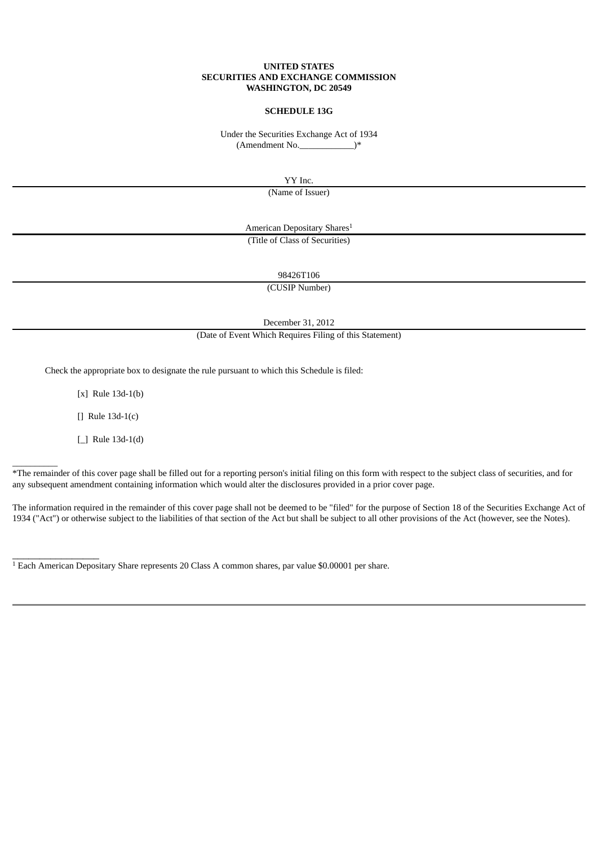### **UNITED STATES SECURITIES AND EXCHANGE COMMISSION WASHINGTON, DC 20549**

## **SCHEDULE 13G**

Under the Securities Exchange Act of 1934  $(Amendment No.$   $(*)$ 

YY Inc.

(Name of Issuer)

American Depositary Shares 1 (Title of Class of Securities)

98426T106

(CUSIP Number)

December 31, 2012

(Date of Event Which Requires Filing of this Statement)

Check the appropriate box to designate the rule pursuant to which this Schedule is filed:

[x] Rule 13d-1(b)

[] Rule 13d-1(c)

[\_] Rule 13d-1(d)

\_\_\_\_\_\_\_\_\_\_

\_\_\_\_\_\_\_\_\_\_\_\_\_\_\_\_

\*The remainder of this cover page shall be filled out for a reporting person's initial filing on this form with respect to the subject class of securities, and for any subsequent amendment containing information which would alter the disclosures provided in a prior cover page.

The information required in the remainder of this cover page shall not be deemed to be "filed" for the purpose of Section 18 of the Securities Exchange Act of 1934 ("Act") or otherwise subject to the liabilities of that section of the Act but shall be subject to all other provisions of the Act (however, see the Notes).

 $<sup>1</sup>$  Each American Depositary Share represents 20 Class A common shares, par value \$0.00001 per share.</sup>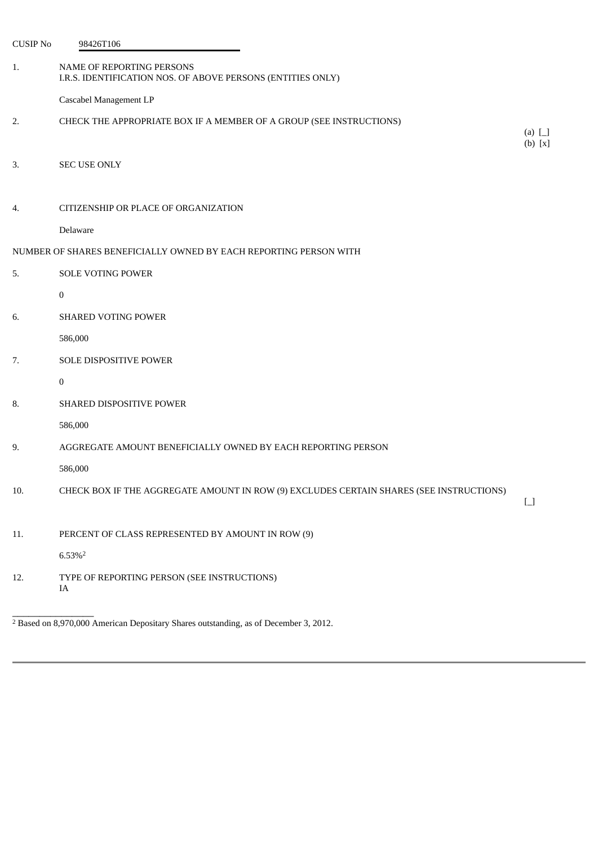| <b>CUSIP No</b> | 98426T106                                                                                |                                        |
|-----------------|------------------------------------------------------------------------------------------|----------------------------------------|
| 1.              | NAME OF REPORTING PERSONS<br>I.R.S. IDENTIFICATION NOS. OF ABOVE PERSONS (ENTITIES ONLY) |                                        |
|                 | Cascabel Management LP                                                                   |                                        |
| 2.              | CHECK THE APPROPRIATE BOX IF A MEMBER OF A GROUP (SEE INSTRUCTIONS)                      | (a) $\Box$<br>$(b)$ [x]                |
| 3.              | <b>SEC USE ONLY</b>                                                                      |                                        |
| 4.              | CITIZENSHIP OR PLACE OF ORGANIZATION                                                     |                                        |
|                 | Delaware                                                                                 |                                        |
|                 | NUMBER OF SHARES BENEFICIALLY OWNED BY EACH REPORTING PERSON WITH                        |                                        |
| 5.              | <b>SOLE VOTING POWER</b>                                                                 |                                        |
|                 | $\bf{0}$                                                                                 |                                        |
| 6.              | SHARED VOTING POWER                                                                      |                                        |
|                 | 586,000                                                                                  |                                        |
| 7.              | SOLE DISPOSITIVE POWER                                                                   |                                        |
|                 | 0                                                                                        |                                        |
| 8.              | SHARED DISPOSITIVE POWER                                                                 |                                        |
|                 | 586,000                                                                                  |                                        |
| 9.              | AGGREGATE AMOUNT BENEFICIALLY OWNED BY EACH REPORTING PERSON                             |                                        |
|                 | 586,000                                                                                  |                                        |
| 10.             | CHECK BOX IF THE AGGREGATE AMOUNT IN ROW (9) EXCLUDES CERTAIN SHARES (SEE INSTRUCTIONS)  | $\begin{bmatrix} 1 \\ 1 \end{bmatrix}$ |
| 11.             | PERCENT OF CLASS REPRESENTED BY AMOUNT IN ROW (9)                                        |                                        |
|                 | $6.53\%$ <sup>2</sup>                                                                    |                                        |
| 12.             | TYPE OF REPORTING PERSON (SEE INSTRUCTIONS)<br>IA                                        |                                        |

 $2$  Based on 8,970,000 American Depositary Shares outstanding, as of December 3, 2012.

\_\_\_\_\_\_\_\_\_\_\_\_\_\_\_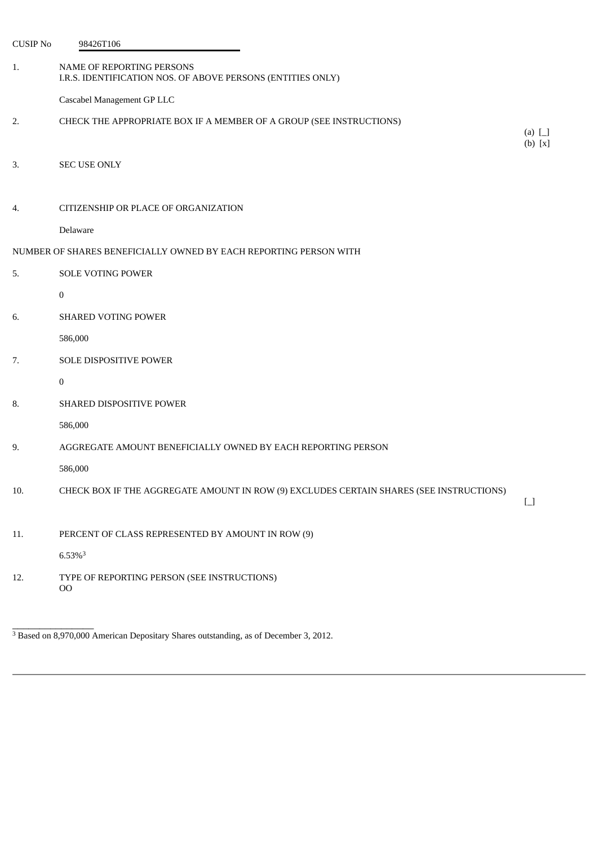| <b>CUSIP No</b> | 98426T106                                                                                |                                        |
|-----------------|------------------------------------------------------------------------------------------|----------------------------------------|
| 1.              | NAME OF REPORTING PERSONS<br>I.R.S. IDENTIFICATION NOS. OF ABOVE PERSONS (ENTITIES ONLY) |                                        |
|                 | Cascabel Management GP LLC                                                               |                                        |
| 2.              | CHECK THE APPROPRIATE BOX IF A MEMBER OF A GROUP (SEE INSTRUCTIONS)                      | (a) $\Box$<br>$(b)$ [x]                |
| 3.              | <b>SEC USE ONLY</b>                                                                      |                                        |
| 4.              | CITIZENSHIP OR PLACE OF ORGANIZATION                                                     |                                        |
|                 | Delaware                                                                                 |                                        |
|                 | NUMBER OF SHARES BENEFICIALLY OWNED BY EACH REPORTING PERSON WITH                        |                                        |
| 5.              | <b>SOLE VOTING POWER</b>                                                                 |                                        |
|                 | $\bf{0}$                                                                                 |                                        |
| 6.              | <b>SHARED VOTING POWER</b>                                                               |                                        |
|                 | 586,000                                                                                  |                                        |
| 7.              | SOLE DISPOSITIVE POWER                                                                   |                                        |
|                 | 0                                                                                        |                                        |
| 8.              | SHARED DISPOSITIVE POWER                                                                 |                                        |
|                 | 586,000                                                                                  |                                        |
| 9.              | AGGREGATE AMOUNT BENEFICIALLY OWNED BY EACH REPORTING PERSON                             |                                        |
|                 | 586,000                                                                                  |                                        |
| 10.             | CHECK BOX IF THE AGGREGATE AMOUNT IN ROW (9) EXCLUDES CERTAIN SHARES (SEE INSTRUCTIONS)  | $\begin{bmatrix} 1 \\ 1 \end{bmatrix}$ |
| 11.             | PERCENT OF CLASS REPRESENTED BY AMOUNT IN ROW (9)                                        |                                        |
|                 | $6.53\%$ <sup>3</sup>                                                                    |                                        |
| 12.             | TYPE OF REPORTING PERSON (SEE INSTRUCTIONS)<br>O <sub>O</sub>                            |                                        |

<sup>3</sup> Based on 8,970,000 American Depositary Shares outstanding, as of December 3, 2012.

\_\_\_\_\_\_\_\_\_\_\_\_\_\_\_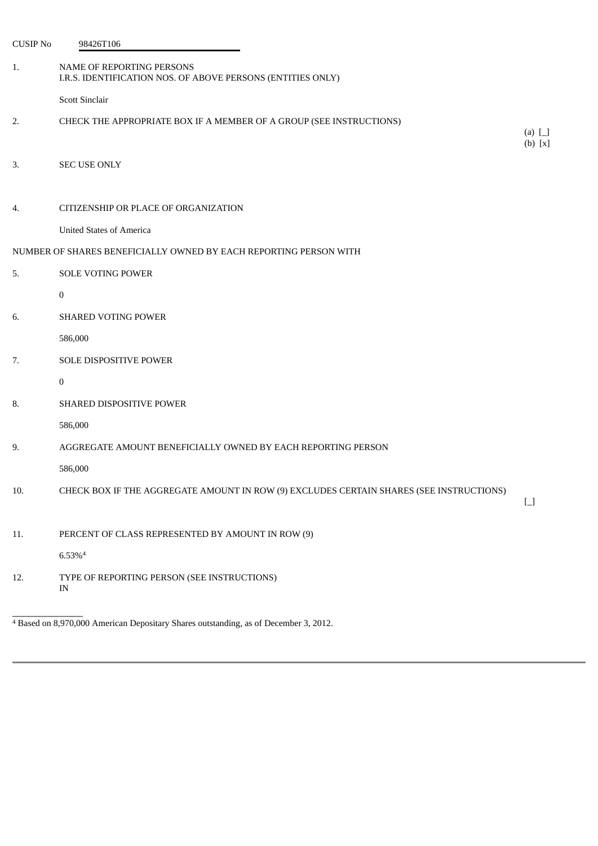| <b>CUSIP No</b> | 98426T106                                                                                |                                        |
|-----------------|------------------------------------------------------------------------------------------|----------------------------------------|
| 1.              | NAME OF REPORTING PERSONS<br>I.R.S. IDENTIFICATION NOS. OF ABOVE PERSONS (ENTITIES ONLY) |                                        |
|                 | <b>Scott Sinclair</b>                                                                    |                                        |
| 2.              | CHECK THE APPROPRIATE BOX IF A MEMBER OF A GROUP (SEE INSTRUCTIONS)                      | (a) $\Box$<br>$(b)$ [x]                |
| 3.              | <b>SEC USE ONLY</b>                                                                      |                                        |
| 4.              | CITIZENSHIP OR PLACE OF ORGANIZATION                                                     |                                        |
|                 | <b>United States of America</b>                                                          |                                        |
|                 | NUMBER OF SHARES BENEFICIALLY OWNED BY EACH REPORTING PERSON WITH                        |                                        |
| 5.              | <b>SOLE VOTING POWER</b>                                                                 |                                        |
|                 | $\bf{0}$                                                                                 |                                        |
| 6.              | <b>SHARED VOTING POWER</b>                                                               |                                        |
|                 | 586,000                                                                                  |                                        |
| 7.              | SOLE DISPOSITIVE POWER                                                                   |                                        |
|                 | $\mathbf{0}$                                                                             |                                        |
| 8.              | SHARED DISPOSITIVE POWER                                                                 |                                        |
|                 | 586,000                                                                                  |                                        |
| 9.              | AGGREGATE AMOUNT BENEFICIALLY OWNED BY EACH REPORTING PERSON                             |                                        |
|                 | 586,000                                                                                  |                                        |
| 10.             | CHECK BOX IF THE AGGREGATE AMOUNT IN ROW (9) EXCLUDES CERTAIN SHARES (SEE INSTRUCTIONS)  | $\begin{bmatrix} 1 \\ 1 \end{bmatrix}$ |
| 11.             | PERCENT OF CLASS REPRESENTED BY AMOUNT IN ROW (9)                                        |                                        |
|                 | $6.53\%4$                                                                                |                                        |
| 12.             | TYPE OF REPORTING PERSON (SEE INSTRUCTIONS)<br>IN                                        |                                        |

<sup>4</sup> Based on 8,970,000 American Depositary Shares outstanding, as of December 3, 2012.

\_\_\_\_\_\_\_\_\_\_\_\_\_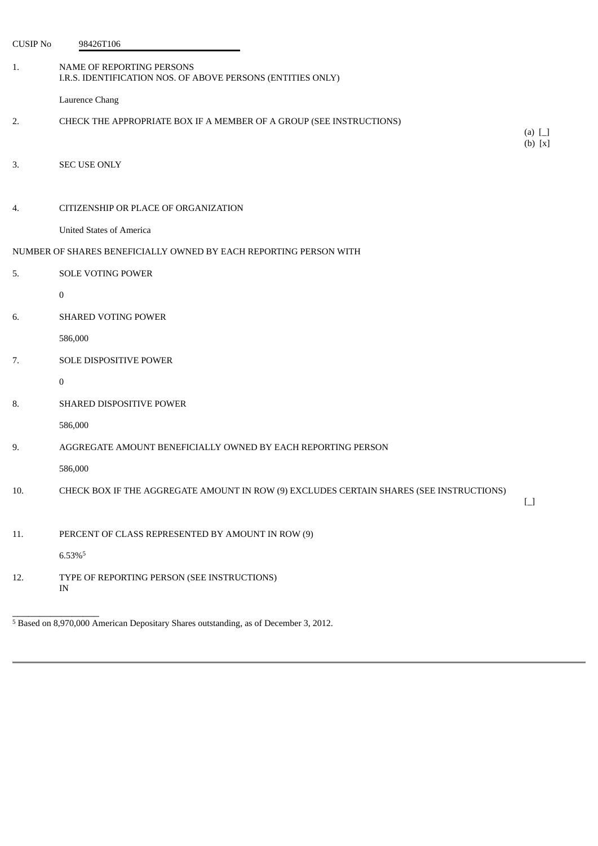| <b>CUSIP No</b> | 98426T106                                                                                |                         |
|-----------------|------------------------------------------------------------------------------------------|-------------------------|
| 1.              | NAME OF REPORTING PERSONS<br>I.R.S. IDENTIFICATION NOS. OF ABOVE PERSONS (ENTITIES ONLY) |                         |
|                 | Laurence Chang                                                                           |                         |
| 2.              | CHECK THE APPROPRIATE BOX IF A MEMBER OF A GROUP (SEE INSTRUCTIONS)                      |                         |
|                 |                                                                                          | (a) $\Box$<br>$(b)$ [x] |
| 3.              | SEC USE ONLY                                                                             |                         |
|                 |                                                                                          |                         |
| 4.              | CITIZENSHIP OR PLACE OF ORGANIZATION                                                     |                         |
|                 | <b>United States of America</b>                                                          |                         |
|                 | NUMBER OF SHARES BENEFICIALLY OWNED BY EACH REPORTING PERSON WITH                        |                         |
| 5.              | <b>SOLE VOTING POWER</b>                                                                 |                         |
|                 | $\bf{0}$                                                                                 |                         |
| 6.              | SHARED VOTING POWER                                                                      |                         |
|                 | 586,000                                                                                  |                         |
| 7.              | SOLE DISPOSITIVE POWER                                                                   |                         |
|                 | $\bf{0}$                                                                                 |                         |
| 8.              | SHARED DISPOSITIVE POWER                                                                 |                         |
|                 | 586,000                                                                                  |                         |
| 9.              | AGGREGATE AMOUNT BENEFICIALLY OWNED BY EACH REPORTING PERSON                             |                         |
|                 | 586,000                                                                                  |                         |
| 10.             | CHECK BOX IF THE AGGREGATE AMOUNT IN ROW (9) EXCLUDES CERTAIN SHARES (SEE INSTRUCTIONS)  |                         |
|                 |                                                                                          | $\boxed{\phantom{1}}$   |
| 11.             | PERCENT OF CLASS REPRESENTED BY AMOUNT IN ROW (9)                                        |                         |
|                 | 6.53%5                                                                                   |                         |
| 12.             | TYPE OF REPORTING PERSON (SEE INSTRUCTIONS)<br>IN                                        |                         |

<sup>5</sup> Based on 8,970,000 American Depositary Shares outstanding, as of December 3, 2012.

\_\_\_\_\_\_\_\_\_\_\_\_\_\_\_\_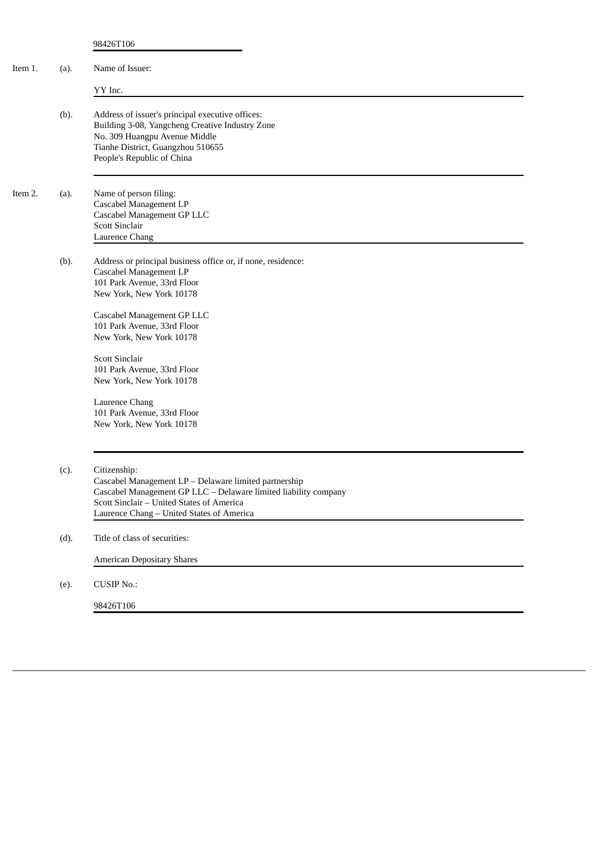| Item 1. | (a). | Name of Issuer:                                                                                                                                                                                                                            |
|---------|------|--------------------------------------------------------------------------------------------------------------------------------------------------------------------------------------------------------------------------------------------|
|         |      | YY Inc.                                                                                                                                                                                                                                    |
|         | (b). | Address of issuer's principal executive offices:<br>Building 3-08, Yangcheng Creative Industry Zone<br>No. 309 Huangpu Avenue Middle<br>Tianhe District, Guangzhou 510655<br>People's Republic of China                                    |
| Item 2. | (a). | Name of person filing:<br>Cascabel Management LP<br>Cascabel Management GP LLC<br><b>Scott Sinclair</b><br>Laurence Chang                                                                                                                  |
|         | (b). | Address or principal business office or, if none, residence:<br>Cascabel Management LP<br>101 Park Avenue, 33rd Floor<br>New York, New York 10178<br>Cascabel Management GP LLC<br>101 Park Avenue, 33rd Floor<br>New York, New York 10178 |
|         |      | <b>Scott Sinclair</b><br>101 Park Avenue, 33rd Floor<br>New York, New York 10178<br>Laurence Chang<br>101 Park Avenue, 33rd Floor<br>New York, New York 10178                                                                              |
|         | (c). | Citizenship:<br>Cascabel Management LP - Delaware limited partnership<br>Cascabel Management GP LLC - Delaware limited liability company<br>Scott Sinclair - United States of America<br>Laurence Chang - United States of America         |
|         | (d). | Title of class of securities:                                                                                                                                                                                                              |
|         |      | <b>American Depositary Shares</b>                                                                                                                                                                                                          |
|         | (e). | <b>CUSIP No.:</b>                                                                                                                                                                                                                          |
|         |      | 98426T106                                                                                                                                                                                                                                  |
|         |      |                                                                                                                                                                                                                                            |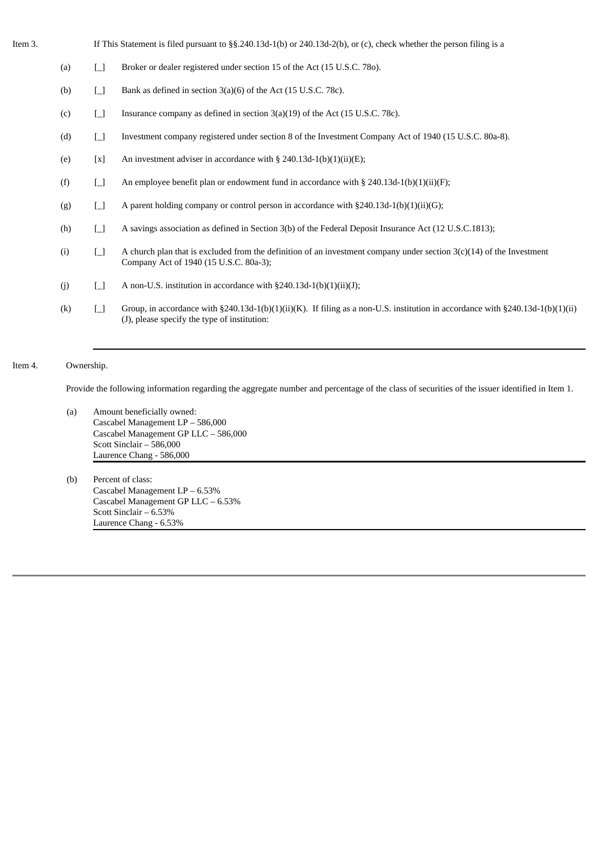| Item 3. |     |        | If This Statement is filed pursuant to $\S$ §.240.13d-1(b) or 240.13d-2(b), or (c), check whether the person filing is a                                                                |
|---------|-----|--------|-----------------------------------------------------------------------------------------------------------------------------------------------------------------------------------------|
|         | (a) | $\Box$ | Broker or dealer registered under section 15 of the Act (15 U.S.C. 780).                                                                                                                |
|         | (b) | $\Box$ | Bank as defined in section 3(a)(6) of the Act (15 U.S.C. 78c).                                                                                                                          |
|         | (c) | $\Box$ | Insurance company as defined in section 3(a)(19) of the Act (15 U.S.C. 78c).                                                                                                            |
|         | (d) | $\Box$ | Investment company registered under section 8 of the Investment Company Act of 1940 (15 U.S.C. 80a-8).                                                                                  |
|         | (e) | [x]    | An investment adviser in accordance with § 240.13d-1(b)(1)(ii)(E);                                                                                                                      |
|         | (f) | $\Box$ | An employee benefit plan or endowment fund in accordance with $\S 240.13d-1(b)(1)(ii)(F)$ ;                                                                                             |
|         | (g) | $\Box$ | A parent holding company or control person in accordance with $\S 240.13d-1(b)(1)(ii)(G)$ ;                                                                                             |
|         | (h) | $\Box$ | A savings association as defined in Section 3(b) of the Federal Deposit Insurance Act (12 U.S.C.1813);                                                                                  |
|         | (i) | Ħ      | A church plan that is excluded from the definition of an investment company under section $3(c)(14)$ of the Investment<br>Company Act of 1940 (15 U.S.C. 80a-3);                        |
|         | (j) | $\Box$ | A non-U.S. institution in accordance with $\S 240.13d-1(b)(1)(ii)(J);$                                                                                                                  |
|         | (k) | Ħ      | Group, in accordance with $\S 240.13d-1(b)(1)(ii)(K)$ . If filing as a non-U.S. institution in accordance with $\S 240.13d-1(b)(1)(ii)$<br>(J), please specify the type of institution: |
|         |     |        |                                                                                                                                                                                         |

# Item 4. Ownership.

Provide the following information regarding the aggregate number and percentage of the class of securities of the issuer identified in Item 1.

- (a) Amount beneficially owned: Cascabel Management LP – 586,000 Cascabel Management GP LLC – 586,000 Scott Sinclair – 586,000 Laurence Chang - 586,000
- (b) Percent of class: Cascabel Management LP – 6.53% Cascabel Management GP LLC – 6.53% Scott Sinclair – 6.53% Laurence Chang - 6.53%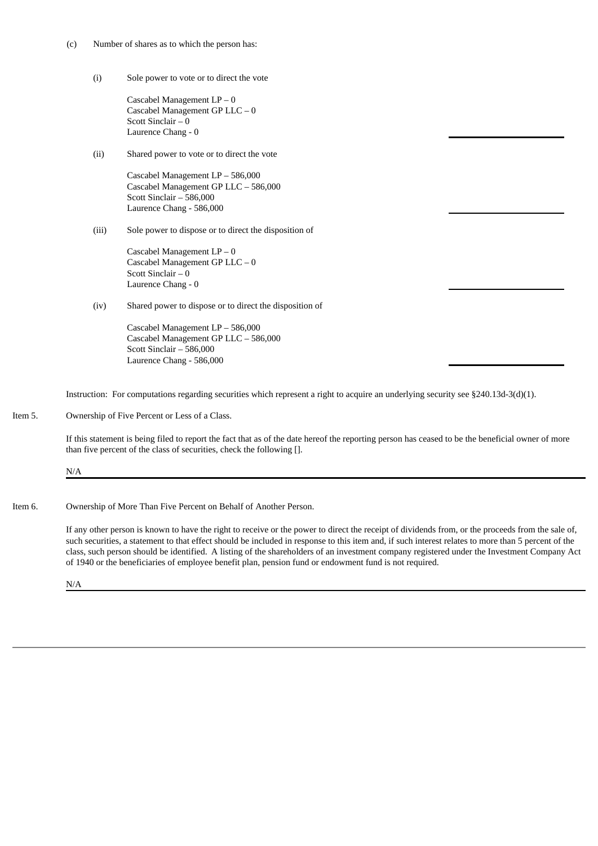- (c) Number of shares as to which the person has:
	- (i) Sole power to vote or to direct the vote

```
Cascabel Management LP – 0
Cascabel Management GP LLC – 0
Scott Sinclair – 0
Laurence Chang - 0
```
(ii) Shared power to vote or to direct the vote

Cascabel Management LP – 586,000 Cascabel Management GP LLC – 586,000 Scott Sinclair – 586,000 Laurence Chang - 586,000

(iii) Sole power to dispose or to direct the disposition of

Cascabel Management LP – 0 Cascabel Management GP LLC – 0 Scott Sinclair – 0 Laurence Chang - 0

(iv) Shared power to dispose or to direct the disposition of

Cascabel Management LP – 586,000 Cascabel Management GP LLC – 586,000 Scott Sinclair – 586,000 Laurence Chang - 586,000

Instruction: For computations regarding securities which represent a right to acquire an underlying security see §240.13d-3(d)(1).

Item 5. Ownership of Five Percent or Less of a Class.

If this statement is being filed to report the fact that as of the date hereof the reporting person has ceased to be the beneficial owner of more than five percent of the class of securities, check the following [].

#### N/A

Item 6. Ownership of More Than Five Percent on Behalf of Another Person.

If any other person is known to have the right to receive or the power to direct the receipt of dividends from, or the proceeds from the sale of, such securities, a statement to that effect should be included in response to this item and, if such interest relates to more than 5 percent of the class, such person should be identified. A listing of the shareholders of an investment company registered under the Investment Company Act of 1940 or the beneficiaries of employee benefit plan, pension fund or endowment fund is not required.

N/A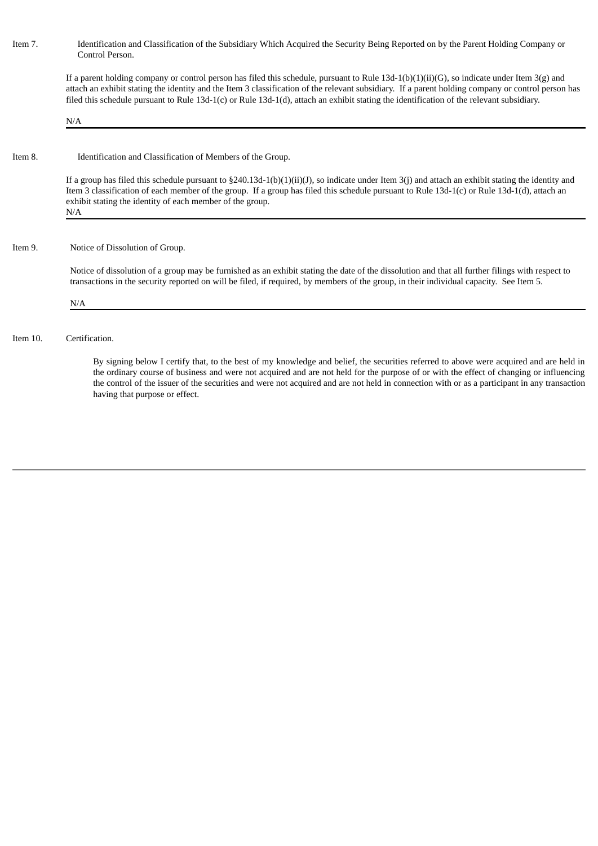Item 7. Identification and Classification of the Subsidiary Which Acquired the Security Being Reported on by the Parent Holding Company or Control Person.

If a parent holding company or control person has filed this schedule, pursuant to Rule 13d-1(b)(1)(ii)(G), so indicate under Item 3(g) and attach an exhibit stating the identity and the Item 3 classification of the relevant subsidiary. If a parent holding company or control person has filed this schedule pursuant to Rule 13d-1(c) or Rule 13d-1(d), attach an exhibit stating the identification of the relevant subsidiary.

N/A

Item 8. Identification and Classification of Members of the Group.

If a group has filed this schedule pursuant to §240.13d-1(b)(1)(ii)(J), so indicate under Item 3(j) and attach an exhibit stating the identity and Item 3 classification of each member of the group. If a group has filed this schedule pursuant to Rule 13d-1(c) or Rule 13d-1(d), attach an exhibit stating the identity of each member of the group. N/A

### Item 9. Notice of Dissolution of Group.

Notice of dissolution of a group may be furnished as an exhibit stating the date of the dissolution and that all further filings with respect to transactions in the security reported on will be filed, if required, by members of the group, in their individual capacity. See Item 5.

#### N/A

Item 10. Certification.

By signing below I certify that, to the best of my knowledge and belief, the securities referred to above were acquired and are held in the ordinary course of business and were not acquired and are not held for the purpose of or with the effect of changing or influencing the control of the issuer of the securities and were not acquired and are not held in connection with or as a participant in any transaction having that purpose or effect.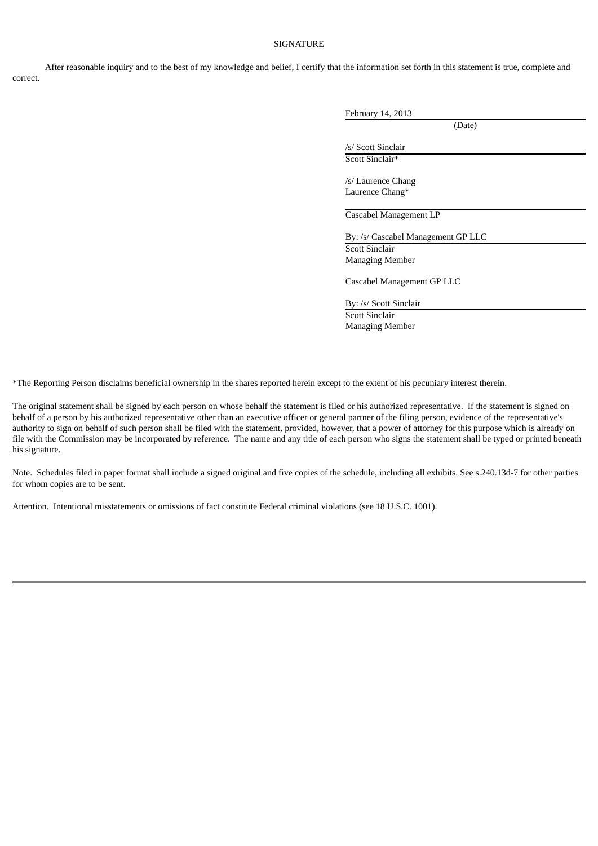# **SIGNATURE**

After reasonable inquiry and to the best of my knowledge and belief, I certify that the information set forth in this statement is true, complete and correct.

|                                          | (Date) |  |
|------------------------------------------|--------|--|
| /s/ Scott Sinclair                       |        |  |
| Scott Sinclair*                          |        |  |
| /s/ Laurence Chang                       |        |  |
| Laurence Chang*                          |        |  |
|                                          |        |  |
| Cascabel Management LP                   |        |  |
| By: /s/ Cascabel Management GP LLC       |        |  |
| Scott Sinclair<br><b>Managing Member</b> |        |  |
| Cascabel Management GP LLC               |        |  |
| By: /s/ Scott Sinclair                   |        |  |
| Scott Sinclair                           |        |  |

\*The Reporting Person disclaims beneficial ownership in the shares reported herein except to the extent of his pecuniary interest therein.

The original statement shall be signed by each person on whose behalf the statement is filed or his authorized representative. If the statement is signed on behalf of a person by his authorized representative other than an executive officer or general partner of the filing person, evidence of the representative's authority to sign on behalf of such person shall be filed with the statement, provided, however, that a power of attorney for this purpose which is already on file with the Commission may be incorporated by reference. The name and any title of each person who signs the statement shall be typed or printed beneath his signature.

Note. Schedules filed in paper format shall include a signed original and five copies of the schedule, including all exhibits. See s.240.13d-7 for other parties for whom copies are to be sent.

Attention. Intentional misstatements or omissions of fact constitute Federal criminal violations (see 18 U.S.C. 1001).